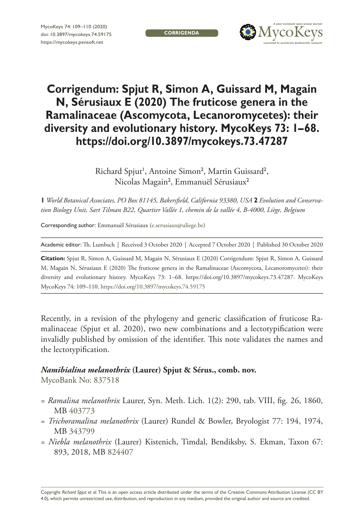**CORRIGENDA**



# **Corrigendum: Spjut R, Simon A, Guissard M, Magain N, Sérusiaux E (2020) The fruticose genera in the Ramalinaceae (Ascomycota, Lecanoromycetes): their diversity and evolutionary history. MycoKeys 73: 1–68. <https://doi.org/10.3897/mycokeys.73.47287>**

Richard Spjut<sup>1</sup>, Antoine Simon<sup>2</sup>, Martin Guissard<sup>2</sup>, Nicolas Magain<sup>2</sup>, Emmanuël Sérusiaux<sup>2</sup>

**1** *World Botanical Associates, PO Box 81145, Bakersfield, California 93380, USA* **2** *Evolution and Conservation Biology Unit, Sart Tilman B22, Quartier Vallée 1, chemin de la vallée 4, B-4000, Liège, Belgium*

Corresponding author: Emmanuël Sérusiaux [\(e.serusiaux@uliege.be\)](mailto:e.serusiaux@uliege.be)

Academic editor: Th. Lumbsch | Received 3 October 2020 | Accepted 7 October 2020 | Published 30 October 2020

**Citation:** Spjut R, Simon A, Guissard M, Magain N, Sérusiaux E (2020) Corrigendum: Spjut R, Simon A, Guissard M, Magain N, Sérusiaux E (2020) The fruticose genera in the Ramalinaceae (Ascomycota, Lecanoromycetes): their diversity and evolutionary history. MycoKeys 73: 1–68. <https://doi.org/10.3897/mycokeys.73.47287>. MycoKeys MycoKeys 74: 109–110.<https://doi.org/10.3897/mycokeys.74.59175>

Recently, in a revision of the phylogeny and generic classification of fruticose Ramalinaceae (Spjut et al. 2020), two new combinations and a lectotypification were invalidly published by omission of the identifier. This note validates the names and the lectotypification.

#### *Namibialina melanothrix* **(Laurer) Spjut & Sérus., comb. nov.**

MycoBank No: [837518](http://www.mycobank.org/MycoTaxo.aspx?Link=T&Rec=837518)

- = *Ramalina melanothrix* Laurer, Syn. Meth. Lich. 1(2): 290, tab. VIII, fig. 26, 1860, MB [403773](http://www.mycobank.org/MycoTaxo.aspx?Link=T&Rec=403773)
- = *Trichoramalina melanothrix* (Laurer) Rundel & Bowler, Bryologist 77: 194, 1974, MB [343799](http://www.mycobank.org/MycoTaxo.aspx?Link=T&Rec=343799)
- = *Niebla melanothrix* (Laurer) Kistenich, Timdal, Bendiksby, S. Ekman, Taxon 67: 893, 2018, MB [824407](http://www.mycobank.org/MycoTaxo.aspx?Link=T&Rec=824407)

Copyright *Richard Spjut et al.* This is an open access article distributed under the terms of the [Creative Commons Attribution License \(CC BY](http://creativecommons.org/licenses/by/4.0/)  [4.0\)](http://creativecommons.org/licenses/by/4.0/), which permits unrestricted use, distribution, and reproduction in any medium, provided the original author and source are credited.